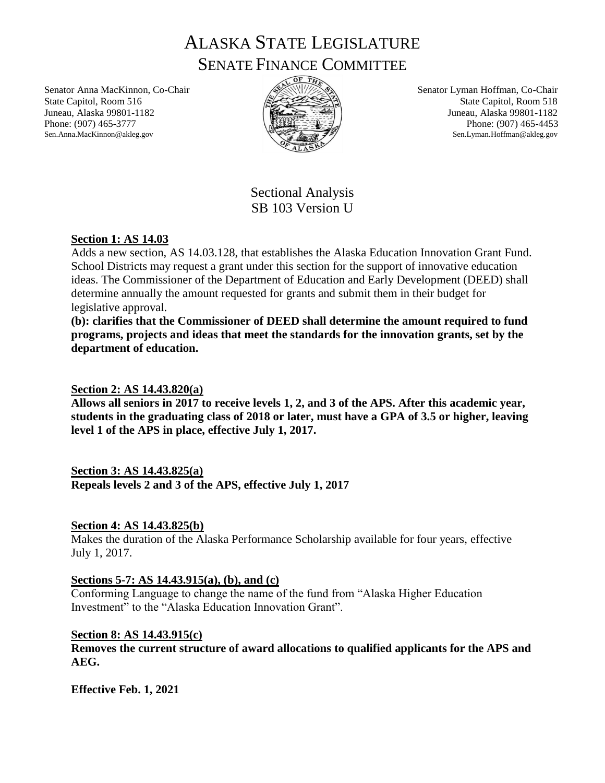ALASKA STATE LEGISLATURE SENATE FINANCE COMMITTEE

Senator Anna MacKinnon, Co-Chair State Capitol, Room 516 Juneau, Alaska 99801-1182 Phone: (907) 465-3777 Sen.Anna.MacKinnon@akleg.gov



Senator Lyman Hoffman, Co-Chair State Capitol, Room 518 Juneau, Alaska 99801-1182 Phone: (907) 465-4453 Sen.Lyman.Hoffman@akleg.gov

Sectional Analysis SB 103 Version U

# **Section 1: AS 14.03**

Adds a new section, AS 14.03.128, that establishes the Alaska Education Innovation Grant Fund. School Districts may request a grant under this section for the support of innovative education ideas. The Commissioner of the Department of Education and Early Development (DEED) shall determine annually the amount requested for grants and submit them in their budget for legislative approval.

**(b): clarifies that the Commissioner of DEED shall determine the amount required to fund programs, projects and ideas that meet the standards for the innovation grants, set by the department of education.**

## **Section 2: AS 14.43.820(a)**

**Allows all seniors in 2017 to receive levels 1, 2, and 3 of the APS. After this academic year, students in the graduating class of 2018 or later, must have a GPA of 3.5 or higher, leaving level 1 of the APS in place, effective July 1, 2017.**

# **Section 3: AS 14.43.825(a)**

**Repeals levels 2 and 3 of the APS, effective July 1, 2017**

### **Section 4: AS 14.43.825(b)**

Makes the duration of the Alaska Performance Scholarship available for four years, effective July 1, 2017.

### **Sections 5-7: AS 14.43.915(a), (b), and (c)**

Conforming Language to change the name of the fund from "Alaska Higher Education Investment" to the "Alaska Education Innovation Grant".

### **Section 8: AS 14.43.915(c)**

**Removes the current structure of award allocations to qualified applicants for the APS and AEG.** 

**Effective Feb. 1, 2021**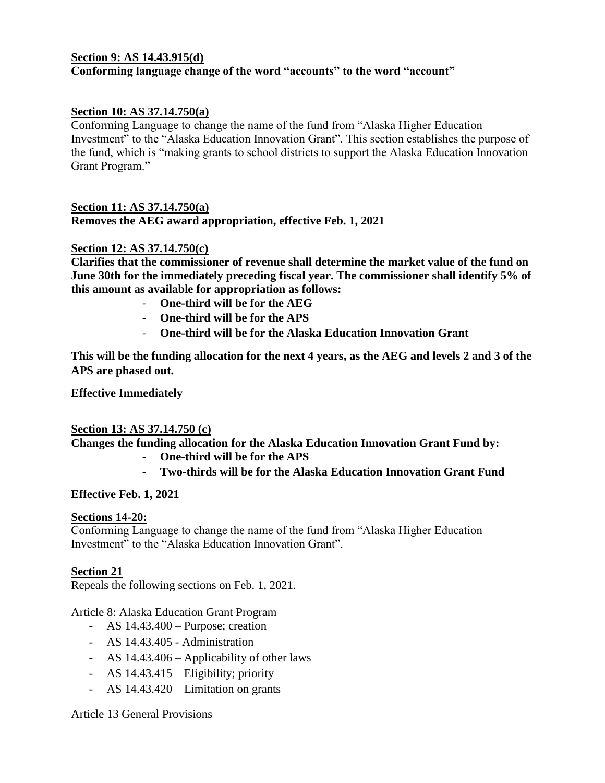### **Section 9: AS 14.43.915(d) Conforming language change of the word "accounts" to the word "account"**

### **Section 10: AS 37.14.750(a)**

Conforming Language to change the name of the fund from "Alaska Higher Education Investment" to the "Alaska Education Innovation Grant". This section establishes the purpose of the fund, which is "making grants to school districts to support the Alaska Education Innovation Grant Program."

#### **Section 11: AS 37.14.750(a) Removes the AEG award appropriation, effective Feb. 1, 2021**

#### **Section 12: AS 37.14.750(c)**

**Clarifies that the commissioner of revenue shall determine the market value of the fund on June 30th for the immediately preceding fiscal year. The commissioner shall identify 5% of this amount as available for appropriation as follows:**

- **One-third will be for the AEG**
- **One-third will be for the APS**
- **One-third will be for the Alaska Education Innovation Grant**

**This will be the funding allocation for the next 4 years, as the AEG and levels 2 and 3 of the APS are phased out.**

**Effective Immediately**

### **Section 13: AS 37.14.750 (c)**

**Changes the funding allocation for the Alaska Education Innovation Grant Fund by:** 

- **One-third will be for the APS**
- **Two-thirds will be for the Alaska Education Innovation Grant Fund**

### **Effective Feb. 1, 2021**

### **Sections 14-20:**

Conforming Language to change the name of the fund from "Alaska Higher Education Investment" to the "Alaska Education Innovation Grant".

### **Section 21**

Repeals the following sections on Feb. 1, 2021.

Article 8: Alaska Education Grant Program

- AS 14.43.400 Purpose; creation
- AS 14.43.405 Administration
- AS 14.43.406 Applicability of other laws
- AS 14.43.415 Eligibility; priority
- AS 14.43.420 Limitation on grants

### Article 13 General Provisions